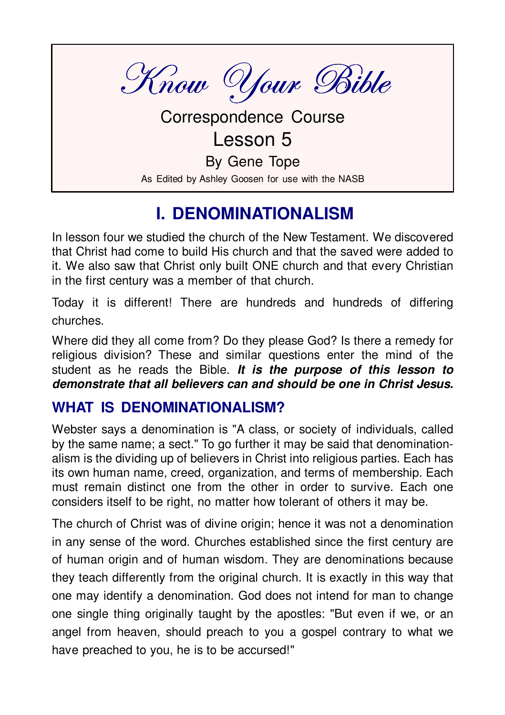

**Correspondence Course** 

Lesson 5

By Gene Tope

As Edited by Ashley Goosen for use with the NASB

# **I. DENOMINATIONALISM**

In lesson four we studied the church of the New Testament We discovered that Christ had come to build His church and that the saved were added to it. We also saw that Christ only built ONE church and that every Christian in the first century was a member of that church.

Today it is different! There are hundreds and hundreds of differing churches.

Where did they all come from? Do they please God? Is there a remedy for religious division? These and similar questions enter the mind of the student as he reads the Bible. It is the purpose of this lesson to demonstrate that all believers can and should be one in Christ Jesus.

### **WHAT IS DENOMINATIONALISM?**

Webster says a denomination is "A class, or society of individuals, called by the same name; a sect." To go further it may be said that denominationalism is the dividing up of believers in Christ into religious parties. Each has its own human name, creed, organization, and terms of membership. Each must remain distinct one from the other in order to survive. Each one considers itself to be right, no matter how tolerant of others it may be.

The church of Christ was of divine origin; hence it was not a denomination in any sense of the word. Churches established since the first century are of human origin and of human wisdom. They are denominations because they teach differently from the original church. It is exactly in this way that one may identify a denomination. God does not intend for man to change one single thing originally taught by the apostles: "But even if we, or an angel from heaven, should preach to you a gospel contrary to what we have preached to you, he is to be accursed!"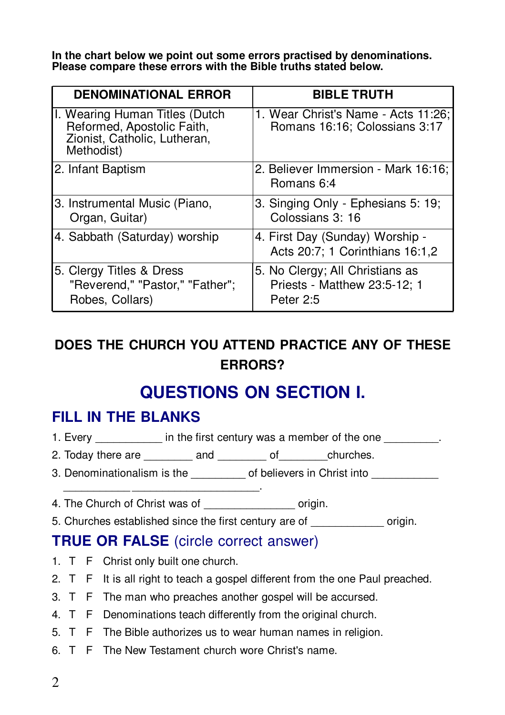In the chart below we point out some errors practised by denominations. Please compare these errors with the Bible truths stated below.

| <b>DENOMINATIONAL ERROR</b>                                                                                | <b>BIBLE TRUTH</b>                                                           |
|------------------------------------------------------------------------------------------------------------|------------------------------------------------------------------------------|
| I. Wearing Human Titles (Dutch<br>Reformed, Apostolic Faith,<br>Zionist, Catholic, Lutheran,<br>Methodist) | 1. Wear Christ's Name - Acts 11:26;<br>Romans 16:16; Colossians 3:17         |
| 2. Infant Baptism                                                                                          | 2. Believer Immersion - Mark 16:16;<br>Romans 6:4                            |
| 3. Instrumental Music (Piano,<br>Organ, Guitar)                                                            | 3. Singing Only - Ephesians 5: 19;<br>Colossians 3: 16                       |
| 4. Sabbath (Saturday) worship                                                                              | 4. First Day (Sunday) Worship -<br>Acts 20:7; 1 Corinthians 16:1,2           |
| 5. Clergy Titles & Dress<br>"Reverend," "Pastor," "Father";<br>Robes, Collars)                             | 5. No Clergy; All Christians as<br>Priests - Matthew 23:5-12; 1<br>Peter 2:5 |

### DOES THE CHURCH YOU ATTEND PRACTICE ANY OF THESE **FRRORS?**

# **QUESTIONS ON SECTION I.**

### **FILL IN THE BLANKS**

- 1. Every in the first century was a member of the one
- 2. Today there are \_\_\_\_\_\_\_\_\_\_ and \_\_\_\_\_\_\_\_\_ of \_\_\_\_ churches.
- 3. Denominationalism is the of believers in Christ into
- 4. The Church of Christ was of origin.
- 5. Churches established since the first century are of origin.

**Contract Contract** 

### **TRUE OR FALSE** (circle correct answer)

- 1. T F Christ only built one church.
- 2. T F It is all right to teach a gospel different from the one Paul preached.
- 3. T F The man who preaches another gospel will be accursed.
- 4. T F Denominations teach differently from the original church.
- 5. T F The Bible authorizes us to wear human names in religion.
- 6. T F The New Testament church wore Christ's name.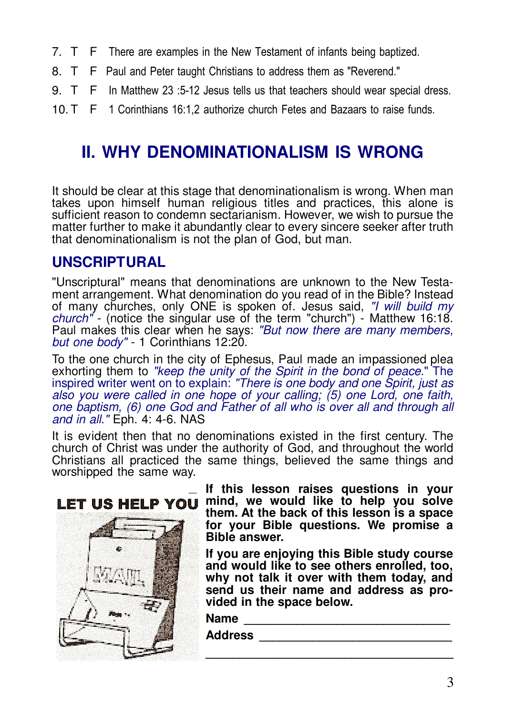- 7. T F There are examples in the New Testament of infants being baptized.
- 8. T F Paul and Peter taught Christians to address them as "Reverend."
- $9. T F$ In Matthew 23 :5-12 Jesus tells us that teachers should wear special dress.
- 10. T F 1 Corinthians 16:1,2 authorize church Fetes and Bazaars to raise funds.

## **II. WHY DENOMINATIONALISM IS WRONG**

It should be clear at this stage that denominationalism is wrong. When man takes upon himself human religious titles and practices, this alone is sufficient reason to condemn sectarianism. However, we wish to pursue the matter further to make it abundantly clear to every sincere seeker after truth that denominationalism is not the plan of God, but man.

### **UNSCRIPTURAL**

"Unscriptural" means that denominations are unknown to the New Testament arrangement. What denomination do you read of in the Bible? Instead of many churches, only ONE is spoken of. Jesus said. "I will build my *church*" - (notice the singular use of the term "church") - Matthew 16:18. Paul makes this clear when he says: "But now there are many members, but one body" - 1 Corinthians 12:20.

To the one church in the city of Ephesus, Paul made an impassioned plea exhorting them to "keep the unity of the Spirit in the bond of peace." The inspired writer went on to explain: "There is one body and one Spirit, just as also you were called in one hope of your calling; (5) one Lord, one faith, one baptism, (6) one God and Father of all who is over all and through all and in all." Eph. 4: 4-6. NAS

It is evident then that no denominations existed in the first century. The church of Christ was under the authority of God, and throughout the world Christians all practiced the same things, believed the same things and worshipped the same way.



If this lesson raises questions in your mind, we would like to help you solve them. At the back of this lesson is a space for your Bible questions. We promise a **Bible answer.** 

If you are enjoying this Bible study course and would like to see others enrolled, too. why not talk it over with them today, and send us their name and address as provided in the space below.

Name

Address and the contract of the contract of the contract of the contract of the contract of the contract of the contract of the contract of the contract of the contract of the contract of the contract of the contract of th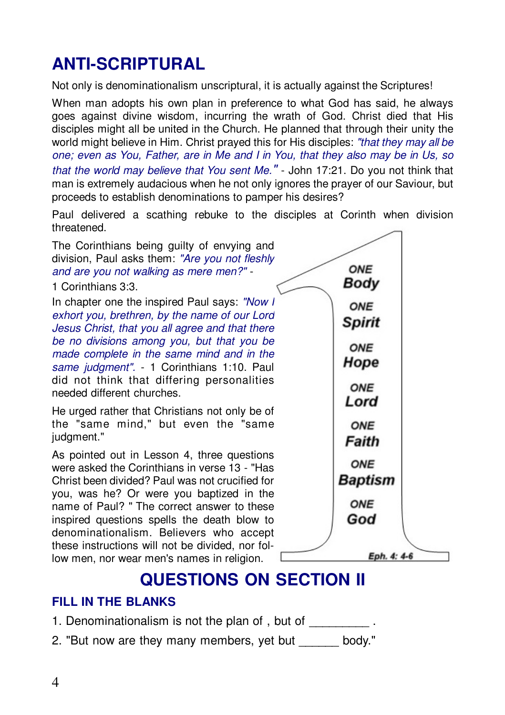# **ANTI-SCRIPTURAL**

Not only is denominationalism unscriptural, it is actually against the Scriptures!

When man adopts his own plan in preference to what God has said, he always goes against divine wisdom, incurring the wrath of God. Christ died that His disciples might all be united in the Church. He planned that through their unity the world might believe in Him. Christ prayed this for His disciples: "that they may all be one; even as You. Father, are in Me and I in You, that they also may be in Us, so that the world may believe that You sent Me." - John 17:21. Do you not think that man is extremely audacious when he not only ignores the prayer of our Saviour, but proceeds to establish denominations to pamper his desires?

Paul delivered a scathing rebuke to the disciples at Corinth when division threatened

The Corinthians being quilty of envying and division. Paul asks them: "Are you not fleshly and are you not walking as mere men?" -

1 Corinthians 3:3.

In chapter one the inspired Paul says: "Now I exhort you, brethren, by the name of our Lord Jesus Christ, that you all agree and that there be no divisions among you, but that you be made complete in the same mind and in the same judgment". - 1 Corinthians 1:10. Paul did not think that differing personalities needed different churches.

He urged rather that Christians not only be of the "same mind," but even the "same judgment."

As pointed out in Lesson 4, three questions were asked the Corinthians in verse 13 - "Has Christ been divided? Paul was not crucified for you, was he? Or were you baptized in the name of Paul? " The correct answer to these inspired questions spells the death blow to denominationalism. Believers who accept these instructions will not be divided, nor follow men, nor wear men's names in religion.



## **QUESTIONS ON SECTION II**

#### **FILL IN THE BLANKS**

- 1. Denominationalism is not the plan of, but of
- 2. "But now are they many members, yet but body."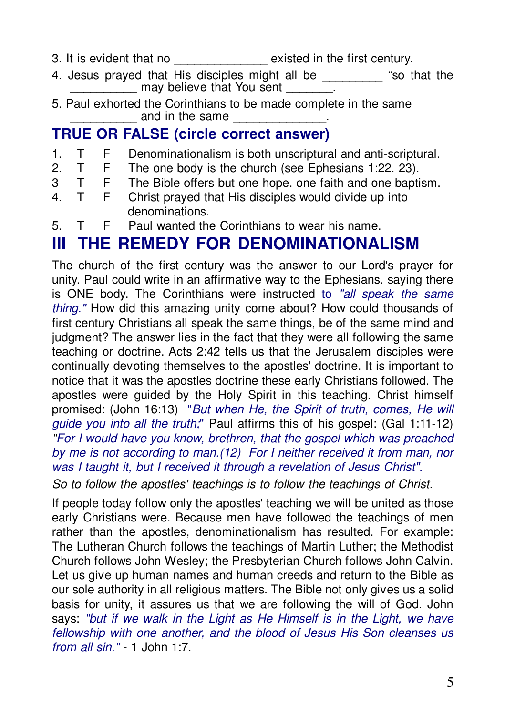- 3. It is evident that no \_\_\_\_\_\_\_\_\_\_\_\_\_\_ existed in the first century.
- 4. Jesus prayed that His disciples might all be  $\hspace{1.6cm}$  "so that the \_\_\_\_\_\_\_\_ may believe that You sent \_\_\_\_\_\_\_\_
- 5. Paul exhorted the Corinthians to be made complete in the same and in the same

### **TRUE OR FALSE (circle correct answer)**

- 1. T F Denominationalism is both unscriptural and anti-scriptural.
- 2. T F The one body is the church (see Ephesians 1:22. 23).
- 3 T F The Bible offers but one hope. one faith and one baptism.
- 4. T F Christ prayed that His disciples would divide up into denominations.
- 5. T F Paul wanted the Corinthians to wear his name.

# **III THE REMEDY FOR DENOMINATIONALISM**

The church of the first century was the answer to our Lord's prayer for unity. Paul could write in an affirmative way to the Ephesians. saying there is ONE body. The Corinthians were instructed to *"all speak the same thing."* How did this amazing unity come about? How could thousands of first century Christians all speak the same things, be of the same mind and judgment? The answer lies in the fact that they were all following the same teaching or doctrine. Acts 2:42 tells us that the Jerusalem disciples were continually devoting themselves to the apostles' doctrine. It is important to notice that it was the apostles doctrine these early Christians followed. The apostles were guided by the Holy Spirit in this teaching. Christ himself promised: (John 16:13) "*But when He, the Spirit of truth, comes, He will guide you into all the truth;*" Paul affirms this of his gospel: (Gal 1:11-12) *"For I would have you know, brethren, that the gospel which was preached by me is not according to man.(12) For I neither received it from man, nor was I taught it, but I received it through a revelation of Jesus Christ".*

*So to follow the apostles' teachings is to follow the teachings of Christ.*

If people today follow only the apostles' teaching we will be united as those early Christians were. Because men have followed the teachings of men rather than the apostles, denominationalism has resulted. For example: The Lutheran Church follows the teachings of Martin Luther; the Methodist Church follows John Wesley; the Presbyterian Church follows John Calvin. Let us give up human names and human creeds and return to the Bible as our sole authority in all religious matters. The Bible not only gives us a solid basis for unity, it assures us that we are following the will of God. John says: *"but if we walk in the Light as He Himself is in the Light, we have fellowship with one another, and the blood of Jesus His Son cleanses us from all sin."* - 1 John 1:7.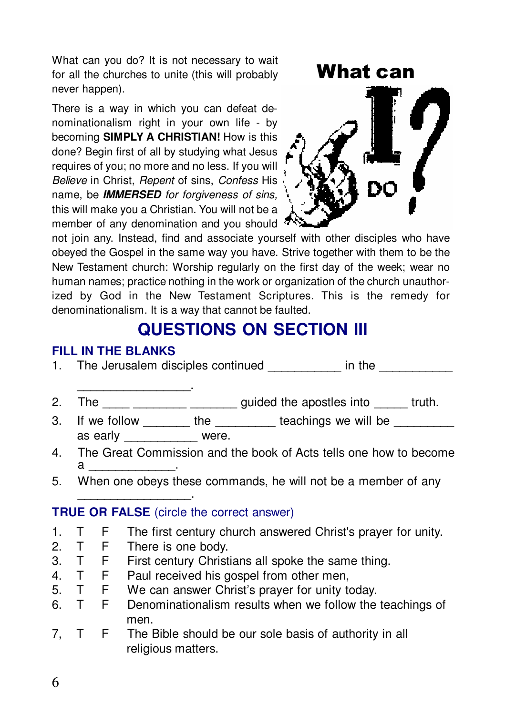What can you do? It is not necessary to wait for all the churches to unite (this will probably never happen).

There is a way in which you can defeat denominationalism right in your own life - by becoming SIMPLY A CHRISTIAN! How is this done? Begin first of all by studying what Jesus requires of you: no more and no less. If you will Believe in Christ, Repent of sins, Confess His name, be **IMMERSED** for forgiveness of sins, this will make you a Christian. You will not be a member of any denomination and you should <sup>7</sup>



not join any. Instead, find and associate yourself with other disciples who have obeyed the Gospel in the same way you have. Strive together with them to be the New Testament church: Worship regularly on the first day of the week; wear no human names; practice nothing in the work or organization of the church unauthorized by God in the New Testament Scriptures. This is the remedy for denominationalism. It is a way that cannot be faulted.

## **QUESTIONS ON SECTION III**

#### **FILL IN THE BLANKS**

- The Jerusalem disciples continued in the  $\mathbf{1}$ .
- The \_\_\_\_\_ \_\_\_\_\_\_\_\_ \_\_\_\_\_\_\_\_ guided the apostles into \_\_\_\_\_ truth.  $2.$
- If we follow \_\_\_\_\_\_\_\_ the \_\_\_\_\_\_\_\_\_ teachings we will be 3. as early were.
- The Great Commission and the book of Acts tells one how to become  $\overline{4}$  $\mathbf a$
- When one obeys these commands, he will not be a member of any 5.

#### **TRUE OR FALSE** (circle the correct answer)

- The first century church answered Christ's prayer for unity. T.  $\mathbf{1}$ . F.
- $\mathcal{P}$  $T$ F. There is one body.
- $T$  $F$  $\mathbf{3}$ First century Christians all spoke the same thing.
- $T$  $4<sup>1</sup>$ E. Paul received his gospel from other men,
- $5<sub>1</sub>$  $T$  $F$ We can answer Christ's prayer for unity today.
- $T$ Denominationalism results when we follow the teachings of  $F$ 6. men
- $7. T$ F. The Bible should be our sole basis of authority in all religious matters.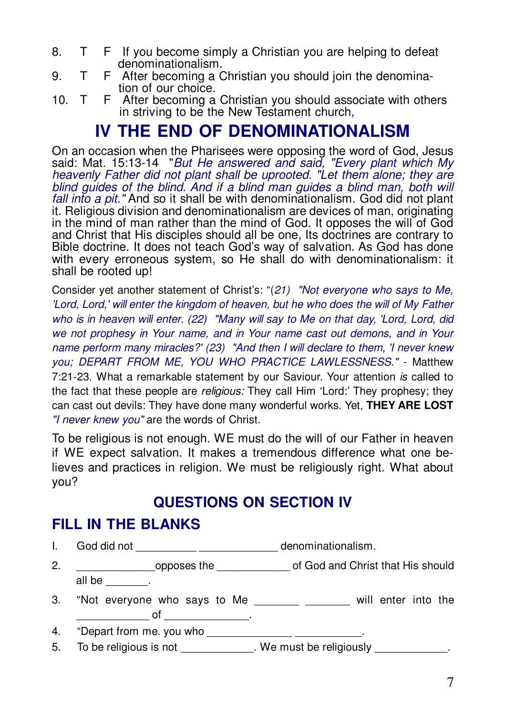- T F If you become simply a Christian you are helping to defeat  $\mathsf{R}$ denominationalism.
- F After becoming a Christian you should join the denomina-9  $T$ tion of our choice.
- 10. T F After becoming a Christian you should associate with others in striving to be the New Testament church,

## **IV THE END OF DENOMINATIONALISM**

On an occasion when the Pharisees were opposing the word of God, Jesus said: Mat. 15:13-14 "But He answered and said. "Every plant which My heavenly Father did not plant shall be uprooted. "Let them alone; they are blind auides of the blind. And if a blind man guides a blind man, both will fall into a pit." And so it shall be with denominationalism. God did not plant it. Religious division and denominationalism are devices of man, originating in the mind of man rather than the mind of God. It opposes the will of God and Christ that His disciples should all be one. Its doctrines are contrary to Bible doctrine. It does not teach God's way of salvation. As God has done with every erroneous system, so He shall do with denominationalism: it shall be rooted up!

Consider yet another statement of Christ's: "(21) "Not everyone who says to Me, 'Lord, Lord,' will enter the kingdom of heaven, but he who does the will of My Father who is in heaven will enter. (22) "Many will say to Me on that day, 'Lord, Lord, did we not prophesy in Your name, and in Your name cast out demons, and in Your name perform many miracles?' (23) "And then I will declare to them, 'I never knew you: DEPART FROM ME, YOU WHO PRACTICE LAWLESSNESS." - Matthew 7:21-23. What a remarkable statement by our Saviour. Your attention is called to the fact that these people are *religious:* They call Him 'Lord:' They prophesy; they can cast out devils: They have done many wonderful works. Yet, THEY ARE LOST "I never knew you" are the words of Christ.

To be religious is not enough. WE must do the will of our Father in heaven if WE expect salvation. It makes a tremendous difference what one believes and practices in religion. We must be religiously right. What about you?

### **QUESTIONS ON SECTION IV**

### **FILL IN THE BLANKS**

L.

- \_\_\_\_\_\_\_\_\_\_\_\_\_\_\_\_\_\_\_opposes the \_\_\_\_\_\_\_\_\_\_\_\_\_\_\_\_\_\_\_of God and Christ that His should  $2.$ all be said the set of the set of the set of the set of the set of the set of the set of the set of the set of the set of the set of the set of the set of the set of the set of the set of the set of the set of the set of t
- "Not everyone who says to Me example and will enter into the 3.  $\overline{\phantom{a}}$  of  $\overline{\phantom{a}}$

"Depart from me. you who \_\_\_\_\_\_\_\_\_\_\_\_\_\_\_\_\_\_\_\_\_\_\_\_\_\_\_\_\_\_. 4.

To be religious is not \_\_\_\_\_\_\_\_\_\_\_\_\_. We must be religiously 5.